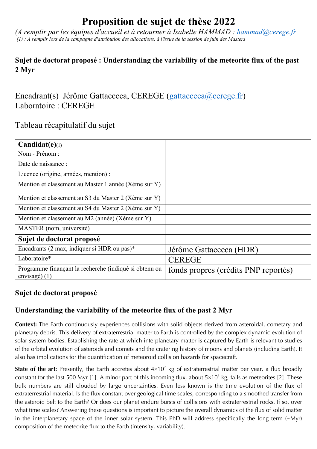# **Proposition de sujet de thèse 2022**

*(A remplir par les équipes d'accueil et à retourner à Isabelle HAMMAD : hammad@cerege.fr (1) : A remplir lors de la campagne d'attribution des allocations, à l'issue de la session de juin des Masters*

## **Sujet de doctorat proposé : Understanding the variability of the meteorite flux of the past 2 Myr**

Encadrant(s) Jérôme Gattacceca, CEREGE (gattacceca@cerege.fr) Laboratoire : CEREGE

# Tableau récapitulatif du sujet

| $Candidat(e)_{(1)}$                                                       |                                      |
|---------------------------------------------------------------------------|--------------------------------------|
| Nom - Prénom :                                                            |                                      |
| Date de naissance :                                                       |                                      |
| Licence (origine, années, mention) :                                      |                                      |
| Mention et classement au Master 1 année (Xème sur Y)                      |                                      |
| Mention et classement au S3 du Master 2 (Xème sur Y)                      |                                      |
| Mention et classement au S4 du Master 2 (Xème sur Y)                      |                                      |
| Mention et classement au M2 (année) (Xème sur Y)                          |                                      |
| MASTER (nom, université)                                                  |                                      |
| Sujet de doctorat proposé                                                 |                                      |
| Encadrants (2 max, indiquer si HDR ou pas)*                               | Jérôme Gattacceca (HDR)              |
| Laboratoire*                                                              | <b>CEREGE</b>                        |
| Programme finançant la recherche (indiqué si obtenu ou<br>envisagé) $(1)$ | fonds propres (crédits PNP reportés) |

## **Sujet de doctorat proposé**

# **Understanding the variability of the meteorite flux of the past 2 Myr**

**Context:** The Earth continuously experiences collisions with solid objects derived from asteroidal, cometary and planetary debris. This delivery of extraterrestrial matter to Earth is controlled by the complex dynamic evolution of solar system bodies. Establishing the rate at which interplanetary matter is captured by Earth is relevant to studies of the orbital evolution of asteroids and comets and the cratering history of moons and planets (including Earth). It also has implications for the quantification of meteoroid collision hazards for spacecraft.

**State of the art:** Presently, the Earth accretes about  $4 \times 10^7$  kg of extraterrestrial matter per year, a flux broadly constant for the last 500 Myr [1]. A minor part of this incoming flux, about  $5\times10^3$  kg, falls as meteorites [2]. These bulk numbers are still clouded by large uncertainties. Even less known is the time evolution of the flux of extraterrestrial material. Is the flux constant over geological time scales, corresponding to a smoothed transfer from the asteroid belt to the Earth? Or does our planet endure bursts of collisions with extraterrestrial rocks. If so, over what time scales? Answering these questions is important to picture the overall dynamics of the flux of solid matter in the interplanetary space of the inner solar system. This PhD will address specifically the long term (~Myr) composition of the meteorite flux to the Earth (intensity, variability).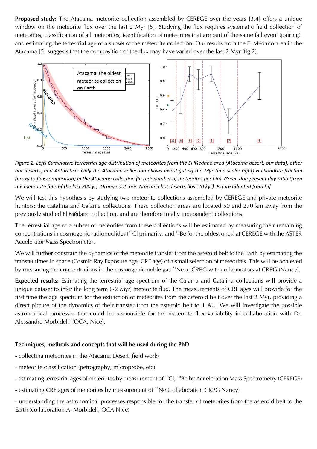**Proposed study:** The Atacama meteorite collection assembled by CEREGE over the years [3,4] offers a unique window on the meteorite flux over the last 2 Myr [5]. Studying the flux requires systematic field collection of meteorites, classification of all meteorites, identification of meteorites that are part of the same fall event (pairing), and estimating the terrestrial age of a subset of the meteorite collection. Our results from the El Médano area in the Atacama [5] suggests that the composition of the flux may have varied over the last 2 Myr (fig 2).



*Figure 2. Left) Cumulative terrestrial age distribution of meteorites from the El Médano area (Atacama desert, our data), other hot deserts, and Antarctica. Only the Atacama collection allows investigating the Myr time scale; right) H chondrite fraction (proxy to flux composition) in the Atacama collection (in red: number of meteorites per bin). Green dot: present day ratio (from the meteorite falls of the last 200 yr). Orange dot: non Atacama hot deserts (last 20 kyr). Figure adapted from [5]*

We will test this hypothesis by studying two meteorite collections assembled by CEREGE and private meteorite hunters: the Catalina and Calama collections. These collection areas are located 50 and 270 km away from the previously studied El Médano collection, and are therefore totally independent collections.

The terrestrial age of a subset of meteorites from these collections will be estimated by measuring their remaining concentrations in cosmogenic radionuclides ( $36$ Cl primarily, and  $10$ Be for the oldest ones) at CEREGE with the ASTER Accelerator Mass Spectrometer.

We will further constrain the dynamics of the meteorite transfer from the asteroid belt to the Earth by estimating the transfer times in space (Cosmic Ray Exposure age, CRE age) of a small selection of meteorites. This will be achieved by measuring the concentrations in the cosmogenic noble gas <sup>21</sup>Ne at CRPG with collaborators at CRPG (Nancy).

**Expected results:** Estimating the terrestrial age spectrum of the Calama and Catalina collections will provide a unique dataset to infer the long term  $(-2 \text{ Myr})$  meteorite flux. The measurements of CRE ages will provide for the first time the age spectrum for the extraction of meteorites from the asteroid belt over the last 2 Myr, providing a direct picture of the dynamics of their transfer from the asteroid belt to 1 AU. We will investigate the possible astronomical processes that could be responsible for the meteorite flux variability in collaboration with Dr. Alessandro Morbidelli (OCA, Nice).

#### **Techniques, methods and concepts that will be used during the PhD**

- collecting meteorites in the Atacama Desert (field work)
- meteorite classification (petrography, microprobe, etc)
- estimating terrestrial ages of meteorites by measurement of <sup>36</sup>Cl, <sup>10</sup>Be by Acceleration Mass Spectrometry (CEREGE)
- estimating CRE ages of meteorites by measurement of  $^{21}$ Ne (collaboration CRPG Nancy)

- understanding the astronomical processes responsible for the transfer of meteorites from the asteroid belt to the Earth (collaboration A. Morbideli, OCA Nice)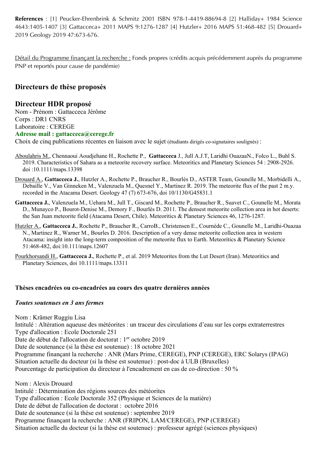**References** : [1] Peucker-Ehrenbrink & Schmitz 2001 ISBN 978-1-4419-88694-8 [2] Halliday+ 1984 Science 4643:1405-1407 [3] Gattacceca+ 2011 MAPS 9:1276-1287 [4] Hutzler+ 2016 MAPS 51:468-482 [5] Drouard+ 2019 Geology 2019 47:673-676.

Détail du Programme finançant la recherche : Fonds propres (crédits acquis précédemment auprès du programme PNP et reportés pour cause de pandémie)

## **Directeurs de thèse proposés**

### **Directeur HDR proposé**

Nom - Prénom : Gattacceca Jérôme Corps : DR1 CNRS Laboratoire : CEREGE **Adresse mail : gattacceca@cerege.fr**

Choix de cinq publications récentes en liaison avec le sujet (étudiants dirigés co-signataires soulignés) :

- Aboulahris M., Chennaoui Aoudjehane H., Rochette P., **Gattacceca** J., Jull A.J.T, Laridhi OuazaaN., Folco L., Buhl S. 2019. Characteristics of Sahara as a meteorite recovery surface. Meteoritics and Planetary Sciences 54 : 2908-2926. doi :10.1111/maps.13398
- Drouard A., **Gattacceca J.**, Hutzler A., Rochette P., Braucher R., Bourlès D., ASTER Team, Gounelle M., Morbidelli A., Debaille V., Van Ginneken M., Valenzuela M., Quesnel Y., Martinez R. 2019. The meteorite flux of the past 2 m.y. recorded in the Atacama Desert. Geology 47 (7) 673-676, doi 10/1130/G45831.1
- **Gattacceca J.**, Valenzuela M., Uehara M., Jull T., Giscard M., Rochette P., Braucher R., Suavet C., Gounelle M., Morata D., Munayco P., Bourot-Denise M., Demory F., Bourlès D. 2011. The densest meteorite collection area in hot deserts: the San Juan meteorite field (Atacama Desert, Chile). Meteoritics & Planetary Sciences 46, 1276-1287.
- Hutzler A., **Gattacceca J.**, Rochette P., Braucher R., CarroB., Christensen E., Cournède C., Gounelle M., Laridhi-Ouazaa N., Martinez R., Warner M., Bourles D. 2016. Description of a very dense meteorite collection area in western Atacama: insight into the long-term composition of the meteorite flux to Earth. Meteoritics & Planetary Science 51:468-482, doi:10.111/maps.12607
- Pourkhorsandi H., **Gattacceca J.**, Rochette P., et al. 2019 Meteorites from the Lut Desert (Iran). Meteoritics and Planetary Sciences, doi 10.1111/maps.13311

#### **Thèses encadrées ou co-encadrées au cours des quatre dernières années**

#### *Toutes soutenues en 3 ans fermes*

Nom : Krämer Ruggiu Lisa Intitulé : Altération aqueuse des météorites : un traceur des circulations d'eau sur les corps extraterrestres Type d'allocation : Ecole Doctorale 251 Date de début de l'allocation de doctorat : 1<sup>er</sup> octobre 2019 Date de soutenance (si la thèse est soutenue) : 18 octobre 2021 Programme finançant la recherche : ANR (Mars Prime, CEREGE), PNP (CEREGE), ERC Solarys (IPAG) Situation actuelle du docteur (si la thèse est soutenue) : post-doc à ULB (Bruxelles) Pourcentage de participation du directeur à l'encadrement en cas de co-direction : 50 %

Nom : Alexis Drouard Intitulé : Détermination des régions sources des météorites Type d'allocation : Ecole Doctorale 352 (Physique et Sciences de la matière) Date de début de l'allocation de doctorat : octobre 2016 Date de soutenance (si la thèse est soutenue) : septembre 2019 Programme finançant la recherche : ANR (FRIPON, LAM/CEREGE), PNP (CEREGE) Situation actuelle du docteur (si la thèse est soutenue) : professeur agrégé (sciences physiques)